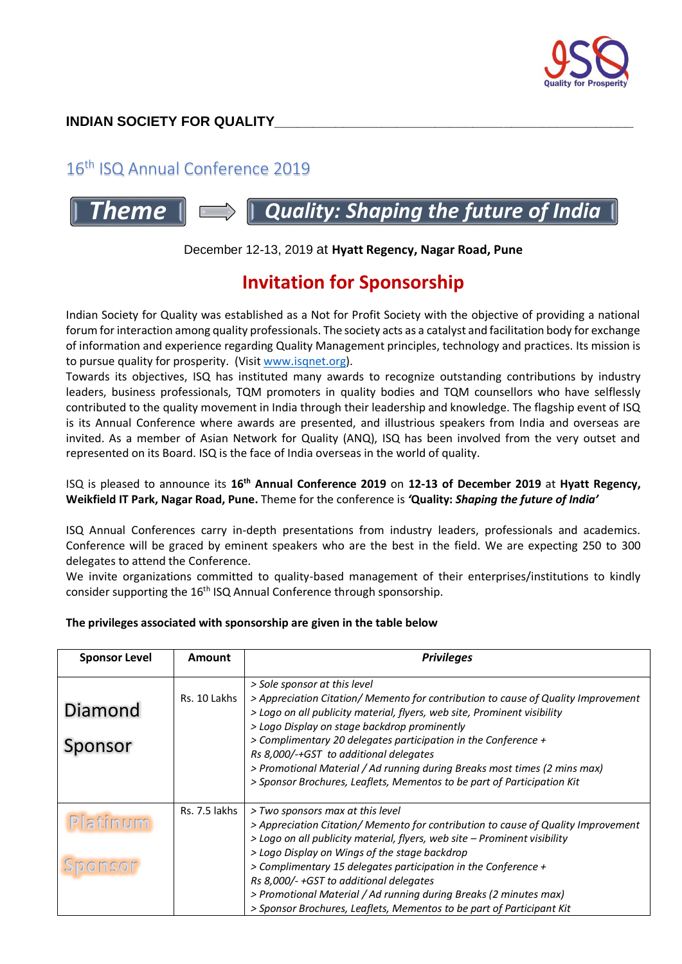

# 16<sup>th</sup> ISQ Annual Conference 2019

# **Theme**  $\parallel \Box$  **Quality: Shaping the future of India**

### December 12-13, 2019 at **Hyatt Regency, Nagar Road, Pune**

# **Invitation for Sponsorship**

Indian Society for Quality was established as a Not for Profit Society with the objective of providing a national forum for interaction among quality professionals. The society acts as a catalyst and facilitation body for exchange of information and experience regarding Quality Management principles, technology and practices. Its mission is to pursue quality for prosperity. (Visit [www.isqnet.org\)](http://www.isqnet.org/).

Towards its objectives, ISQ has instituted many awards to recognize outstanding contributions by industry leaders, business professionals, TQM promoters in quality bodies and TQM counsellors who have selflessly contributed to the quality movement in India through their leadership and knowledge. The flagship event of ISQ is its Annual Conference where awards are presented, and illustrious speakers from India and overseas are invited. As a member of Asian Network for Quality (ANQ), ISQ has been involved from the very outset and represented on its Board. ISQ is the face of India overseas in the world of quality.

#### ISQ is pleased to announce its **16 th Annual Conference 2019** on **12-13 of December 2019** at **Hyatt Regency, Weikfield IT Park, Nagar Road, Pune.** Theme for the conference is *'***Quality:** *Shaping the future of India'*

ISQ Annual Conferences carry in-depth presentations from industry leaders, professionals and academics. Conference will be graced by eminent speakers who are the best in the field. We are expecting 250 to 300 delegates to attend the Conference.

We invite organizations committed to quality-based management of their enterprises/institutions to kindly consider supporting the 16<sup>th</sup> ISQ Annual Conference through sponsorship.

#### **The privileges associated with sponsorship are given in the table below**

| <b>Sponsor Level</b> | Amount        | <b>Privileges</b>                                                                                                                                                                                                                                                                                                                                                                                                                                                                                                 |
|----------------------|---------------|-------------------------------------------------------------------------------------------------------------------------------------------------------------------------------------------------------------------------------------------------------------------------------------------------------------------------------------------------------------------------------------------------------------------------------------------------------------------------------------------------------------------|
| Diamond<br>Sponsor   | Rs. 10 Lakhs  | > Sole sponsor at this level<br>> Appreciation Citation/ Memento for contribution to cause of Quality Improvement<br>> Logo on all publicity material, flyers, web site, Prominent visibility<br>> Logo Display on stage backdrop prominently<br>> Complimentary 20 delegates participation in the Conference +<br>Rs 8,000/-+GST to additional delegates<br>> Promotional Material / Ad running during Breaks most times (2 mins max)<br>> Sponsor Brochures, Leaflets, Mementos to be part of Participation Kit |
| Platinum<br>Sponsor  | Rs. 7.5 lakhs | > Two sponsors max at this level<br>> Appreciation Citation/ Memento for contribution to cause of Quality Improvement<br>> Logo on all publicity material, flyers, web site - Prominent visibility<br>> Logo Display on Wings of the stage backdrop<br>> Complimentary 15 delegates participation in the Conference +<br>Rs 8,000/- +GST to additional delegates<br>> Promotional Material / Ad running during Breaks (2 minutes max)<br>> Sponsor Brochures, Leaflets, Mementos to be part of Participant Kit    |